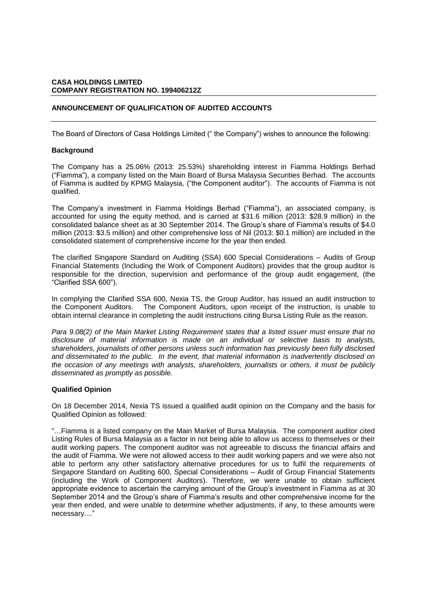# **CASA HOLDINGS LIMITED COMPANY REGISTRATION NO. 199406212Z**

# **ANNOUNCEMENT OF QUALIFICATION OF AUDITED ACCOUNTS**

The Board of Directors of Casa Holdings Limited (" the Company") wishes to announce the following:

#### **Background**

The Company has a 25.06% (2013: 25.53%) shareholding interest in Fiamma Holdings Berhad ("Fiamma"), a company listed on the Main Board of Bursa Malaysia Securities Berhad. The accounts of Fiamma is audited by KPMG Malaysia, ("the Component auditor"). The accounts of Fiamma is not qualified.

The Company's investment in Fiamma Holdings Berhad ("Fiamma"), an associated company, is accounted for using the equity method, and is carried at \$31.6 million (2013: \$28.9 million) in the consolidated balance sheet as at 30 September 2014. The Group's share of Fiamma's results of \$4.0 million (2013: \$3.5 million) and other comprehensive loss of Nil (2013: \$0.1 million) are included in the consolidated statement of comprehensive income for the year then ended.

The clarified Singapore Standard on Auditing (SSA) 600 Special Considerations – Audits of Group Financial Statements (Including the Work of Component Auditors) provides that the group auditor is responsible for the direction, supervision and performance of the group audit engagement, (the "Clarified SSA 600").

In complying the Clarified SSA 600, Nexia TS, the Group Auditor, has issued an audit instruction to the Component Auditors. The Component Auditors, upon receipt of the instruction, is unable to obtain internal clearance in completing the audit instructions citing Bursa Listing Rule as the reason.

*Para 9.08(2) of the Main Market Listing Requirement states that a listed issuer must ensure that no disclosure of material information is made on an individual or selective basis to analysts, shareholders, journalists of other persons unless such information has previously been fully disclosed and disseminated to the public. In the event, that material information is inadvertently disclosed on the occasion of any meetings with analysts, shareholders, journalists or others, it must be publicly disseminated as promptly as possible.* 

### **Qualified Opinion**

On 18 December 2014, Nexia TS issued a qualified audit opinion on the Company and the basis for Qualified Opinion as followed:

"…Fiamma is a listed company on the Main Market of Bursa Malaysia. The component auditor cited Listing Rules of Bursa Malaysia as a factor in not being able to allow us access to themselves or their audit working papers. The component auditor was not agreeable to discuss the financial affairs and the audit of Fiamma. We were not allowed access to their audit working papers and we were also not able to perform any other satisfactory alternative procedures for us to fulfil the requirements of Singapore Standard on Auditing 600, Special Considerations – Audit of Group Financial Statements (including the Work of Component Auditors). Therefore, we were unable to obtain sufficient appropriate evidence to ascertain the carrying amount of the Group's investment in Fiamma as at 30 September 2014 and the Group's share of Fiamma's results and other comprehensive income for the year then ended, and were unable to determine whether adjustments, if any, to these amounts were necessary...."